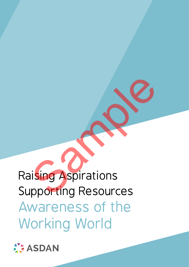# Raising Aspirations Supporting Resources Awareness of the Working World Sample Terms<br>Sample Terms<br>Sample Terms<br>Sample Terms<br>Sample Terms<br>Sample Terms<br>Sample Terms<br>Sample Terms<br>Sample Terms<br>Sample Terms<br>Sample Terms<br>Sample Terms<br>Sample Terms<br>Sample Terms<br>Sample Terms<br>Sample Terms<br>Sample Terms<br>S

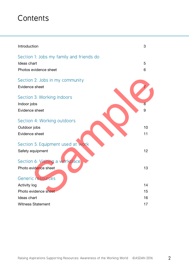# **Contents**

| Introduction                             | 3  |
|------------------------------------------|----|
| Section 1: Jobs my family and friends do |    |
| Ideas chart                              | 5  |
| Photos evidence sheet                    | 6  |
| Section 2: Jobs in my community          |    |
| Evidence sheet                           |    |
| Section 3: Working indoors               |    |
| Indoor jobs                              | 8  |
| Evidence sheet                           | 9  |
| Section 4: Working outdoors              |    |
| Outdoor jobs                             | 10 |
| Evidence sheet                           | 11 |
| Section 5: Equipment used at work        |    |
| Safety equipment                         | 12 |
| Section 6: Visiting a workplace          |    |
| Photo evidence sheet                     | 13 |
| Generic resources                        |    |
| <b>Activity log</b>                      | 14 |
| Photo evidence sheet                     | 15 |
| Ideas chart                              | 16 |
| <b>Witness Statement</b>                 | 17 |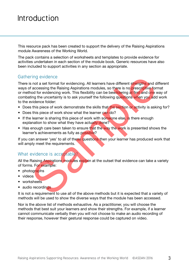# Introduction

This resource pack has been created to support the delivery of the Raising Aspirations module Awareness of the Working World.

The pack contains a selection of worksheets and templates to provide evidence for activities undertaken in each section of the module book. Generic resources have also been included to support activities in any section as appropriate.

#### Gathering evidence

There is not a set format for evidencing. All learners have different strengths and different ways of accessing the Raising Aspirations modules, so there is no prescriptive format or method for evidencing work. This flexibility can be bewildering at first and one way of combating the uncertainty is to ask yourself the following questions when you add work to the evidence folder: ring evidence<br>
is not a set format for evidencing. All learners have different strengths and d<br>
in a coessing the Raising Aspirations modules, so there is no prescriptive for<br>
faccessing the Raising Aspirations modules, so

- Does this piece of work demonstrate the skills that the section or activity is asking for?
- Does this piece of work show what the learner can do?
- If the learner is sharing this piece of work with someone else, is there enough explanation to show what they have actually done?
- Has enough care been taken to ensure that the way the work is presented shows the learner's achievements as fully as possible?

If you can answer 'yes' to all of these questions then your learner has produced work that will amply meet the requirements.

#### What evidence is acceptable?

All the Raising Aspirations modules explain at the outset that evidence can take a variety of forms. For example:

- photographs
- videos
- worksheets
- audio recordings

It is not a requirement to use all of the above methods but it is expected that a variety of methods will be used to show the diverse ways that the module has been accessed.

Nor is the above list of methods exhaustive. As a practitioner, you will choose the methods that best suit your learners and show their strengths. For example, if a learner cannot communicate verbally then you will not choose to make an audio recording of their response, however their gestural response could be captured on video.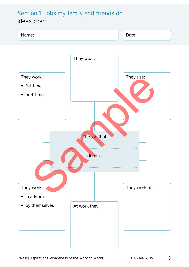#### Section 1: Jobs my family and friends do Ideas chart

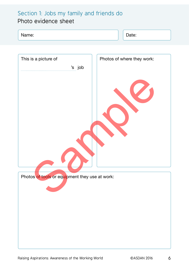## Section 1: Jobs my family and friends do

## Photo evidence sheet

| Name:<br>Date: |
|----------------|
|----------------|

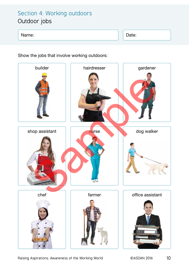## Section 4: Working outdoors Outdoor jobs

#### Name: Date: Date: Date: Date: Date: Date: Date: Date: Date: Date: Date: Date: Date: Date: Date: Date: Date: Date: Date: Date: Date: Date: Date: Date: Date: Date: Date: Date: Date: Date: Date: Date: Date: Date: Date: Date:

Show the jobs that involve working outdoors:



Raising Aspirations: Awareness of the Working World **CASDAN 2016** 10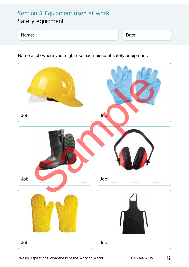### Section 5: Equipment used at work Safety equipment

#### Name: Date:

Name a job where you might use each piece of safety equipment.



Raising Aspirations: Awareness of the Working World **CASDAN 2016** 12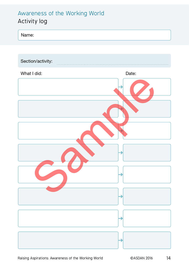## Awareness of the Working World Activity log



| Section/activity: |       |
|-------------------|-------|
| What I did:       | Date: |
|                   |       |
|                   |       |
|                   |       |
|                   |       |
|                   |       |
|                   |       |
|                   |       |
|                   |       |